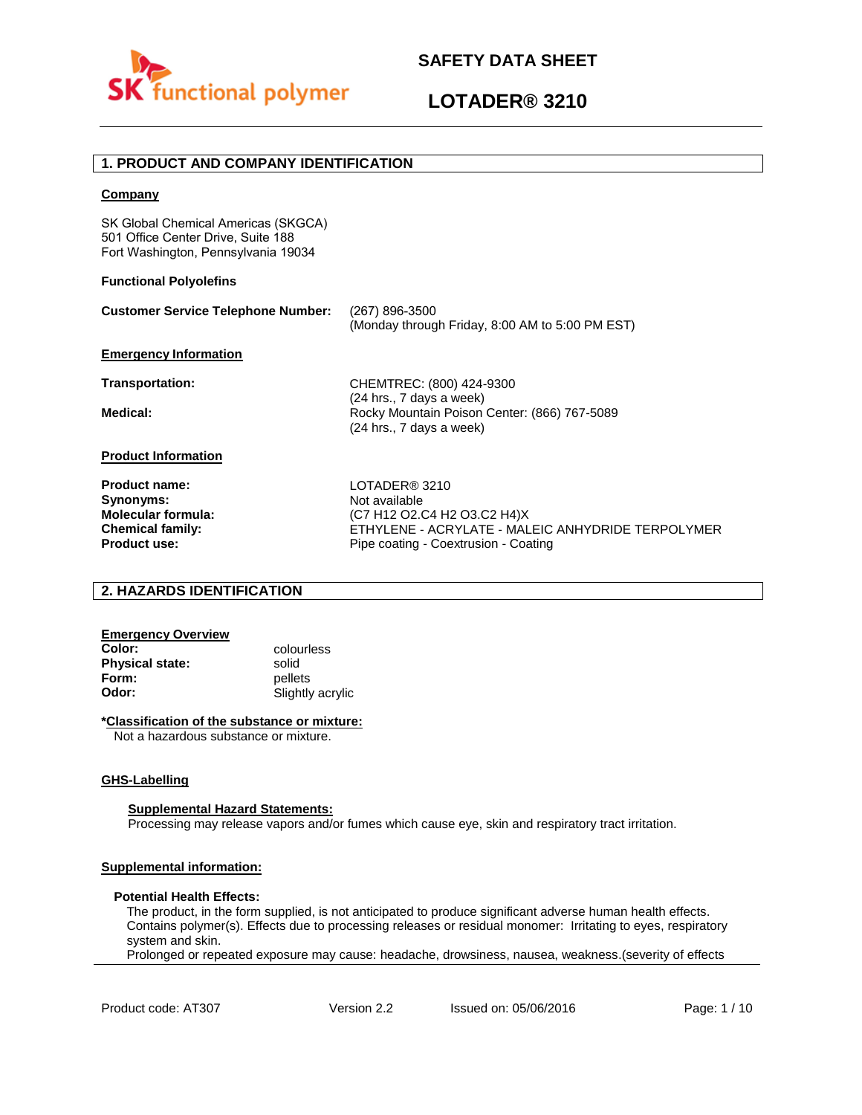

## **1. PRODUCT AND COMPANY IDENTIFICATION**

#### **Company**

SK Global Chemical Americas (SKGCA) 501 Office Center Drive, Suite 188 Fort Washington, Pennsylvania 19034

#### **Functional Polyolefins**

| <b>Customer Service Telephone Number:</b>                                                 | (267) 896-3500<br>(Monday through Friday, 8:00 AM to 5:00 PM EST)                                                  |
|-------------------------------------------------------------------------------------------|--------------------------------------------------------------------------------------------------------------------|
| <b>Emergency Information</b>                                                              |                                                                                                                    |
| Transportation:                                                                           | CHEMTREC: (800) 424-9300                                                                                           |
| Medical:                                                                                  | (24 hrs., 7 days a week)<br>Rocky Mountain Poison Center: (866) 767-5089<br>(24 hrs., 7 days a week)               |
| <b>Product Information</b>                                                                |                                                                                                                    |
| <b>Product name:</b><br>Synonyms:<br><b>Molecular formula:</b><br><b>Chemical family:</b> | LOTADER® 3210<br>Not available<br>(C7 H12 O2.C4 H2 O3.C2 H4)X<br>ETHYLENE - ACRYLATE - MALEIC ANHYDRIDE TERPOLYMER |
| <b>Product use:</b>                                                                       | Pipe coating - Coextrusion - Coating                                                                               |

## **2. HAZARDS IDENTIFICATION**

# **Emergency Overview**

**Physical state:** solid<br> **Form:** nellet **Form:** pellets<br> **Odor:** Slightly

**Color:** colourless **Odor:** Slightly acrylic

#### **\*Classification of the substance or mixture:**

Not a hazardous substance or mixture.

#### **GHS-Labelling**

#### **Supplemental Hazard Statements:**

Processing may release vapors and/or fumes which cause eye, skin and respiratory tract irritation.

### **Supplemental information:**

#### **Potential Health Effects:**

The product, in the form supplied, is not anticipated to produce significant adverse human health effects. Contains polymer(s). Effects due to processing releases or residual monomer: Irritating to eyes, respiratory system and skin.

Prolonged or repeated exposure may cause: headache, drowsiness, nausea, weakness.(severity of effects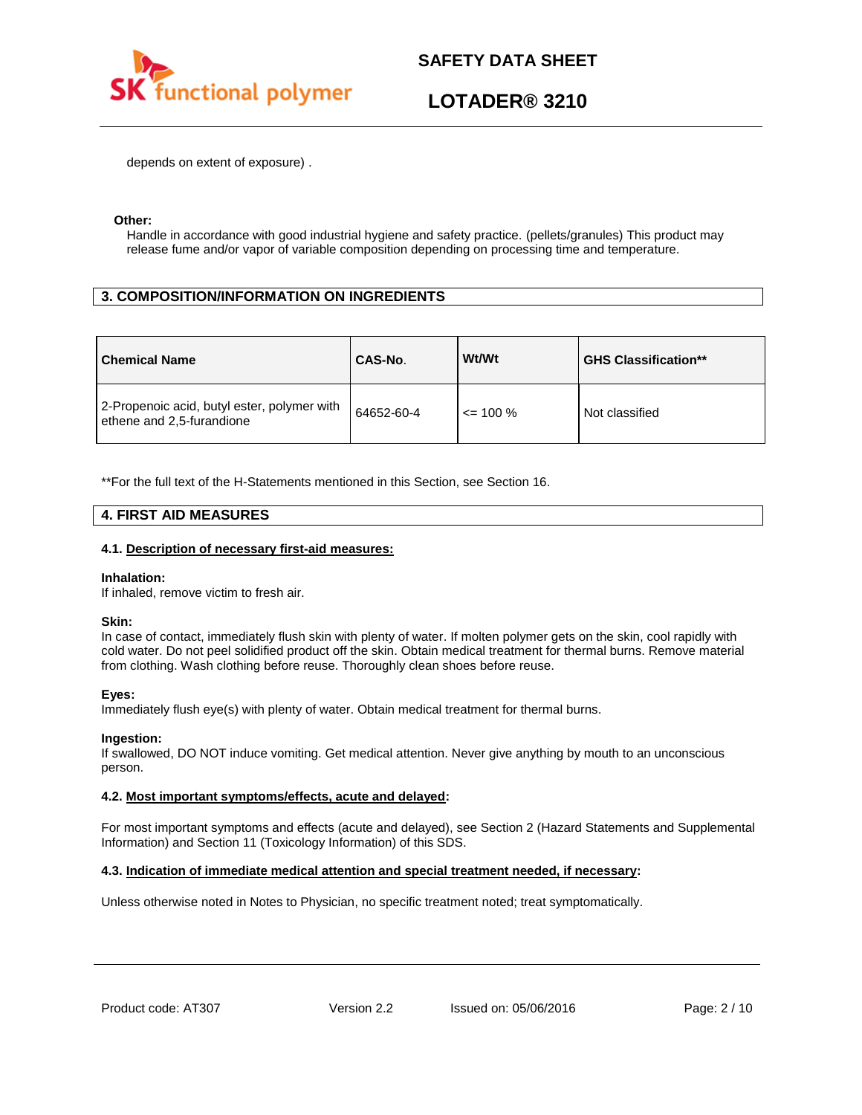

depends on extent of exposure) .

#### **Other:**

Handle in accordance with good industrial hygiene and safety practice. (pellets/granules) This product may release fume and/or vapor of variable composition depending on processing time and temperature.

## **3. COMPOSITION/INFORMATION ON INGREDIENTS**

| <b>Chemical Name</b>                                                     | CAS-No.    | Wt/Wt        | <b>GHS Classification**</b> |
|--------------------------------------------------------------------------|------------|--------------|-----------------------------|
| 2-Propenoic acid, butyl ester, polymer with<br>ethene and 2,5-furandione | 64652-60-4 | $\leq$ 100 % | Not classified              |

\*\*For the full text of the H-Statements mentioned in this Section, see Section 16.

### **4. FIRST AID MEASURES**

#### **4.1. Description of necessary first-aid measures:**

#### **Inhalation:**

If inhaled, remove victim to fresh air.

#### **Skin:**

In case of contact, immediately flush skin with plenty of water. If molten polymer gets on the skin, cool rapidly with cold water. Do not peel solidified product off the skin. Obtain medical treatment for thermal burns. Remove material from clothing. Wash clothing before reuse. Thoroughly clean shoes before reuse.

#### **Eyes:**

Immediately flush eye(s) with plenty of water. Obtain medical treatment for thermal burns.

#### **Ingestion:**

If swallowed, DO NOT induce vomiting. Get medical attention. Never give anything by mouth to an unconscious person.

#### **4.2. Most important symptoms/effects, acute and delayed:**

For most important symptoms and effects (acute and delayed), see Section 2 (Hazard Statements and Supplemental Information) and Section 11 (Toxicology Information) of this SDS.

#### **4.3. Indication of immediate medical attention and special treatment needed, if necessary:**

Unless otherwise noted in Notes to Physician, no specific treatment noted; treat symptomatically.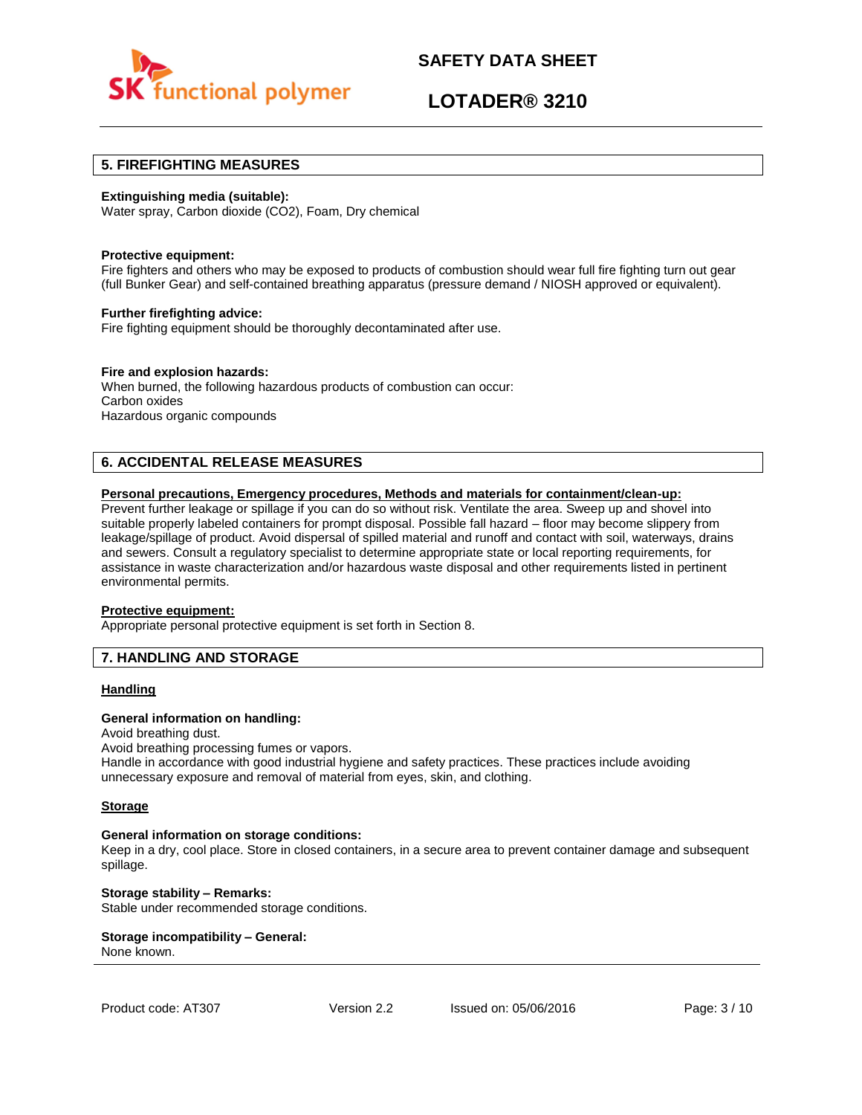

## **LOTADER® 3210**

### **5. FIREFIGHTING MEASURES**

#### **Extinguishing media (suitable):**

Water spray, Carbon dioxide (CO2), Foam, Dry chemical

#### **Protective equipment:**

Fire fighters and others who may be exposed to products of combustion should wear full fire fighting turn out gear (full Bunker Gear) and self-contained breathing apparatus (pressure demand / NIOSH approved or equivalent).

#### **Further firefighting advice:**

Fire fighting equipment should be thoroughly decontaminated after use.

#### **Fire and explosion hazards:**

When burned, the following hazardous products of combustion can occur: Carbon oxides Hazardous organic compounds

## **6. ACCIDENTAL RELEASE MEASURES**

#### **Personal precautions, Emergency procedures, Methods and materials for containment/clean-up:**

Prevent further leakage or spillage if you can do so without risk. Ventilate the area. Sweep up and shovel into suitable properly labeled containers for prompt disposal. Possible fall hazard – floor may become slippery from leakage/spillage of product. Avoid dispersal of spilled material and runoff and contact with soil, waterways, drains and sewers. Consult a regulatory specialist to determine appropriate state or local reporting requirements, for assistance in waste characterization and/or hazardous waste disposal and other requirements listed in pertinent environmental permits.

#### **Protective equipment:**

Appropriate personal protective equipment is set forth in Section 8.

### **7. HANDLING AND STORAGE**

#### **Handling**

#### **General information on handling:**

Avoid breathing dust.

Avoid breathing processing fumes or vapors.

Handle in accordance with good industrial hygiene and safety practices. These practices include avoiding unnecessary exposure and removal of material from eyes, skin, and clothing.

#### **Storage**

#### **General information on storage conditions:**

Keep in a dry, cool place. Store in closed containers, in a secure area to prevent container damage and subsequent spillage.

**Storage stability – Remarks:**  Stable under recommended storage conditions.

#### **Storage incompatibility – General:**  None known.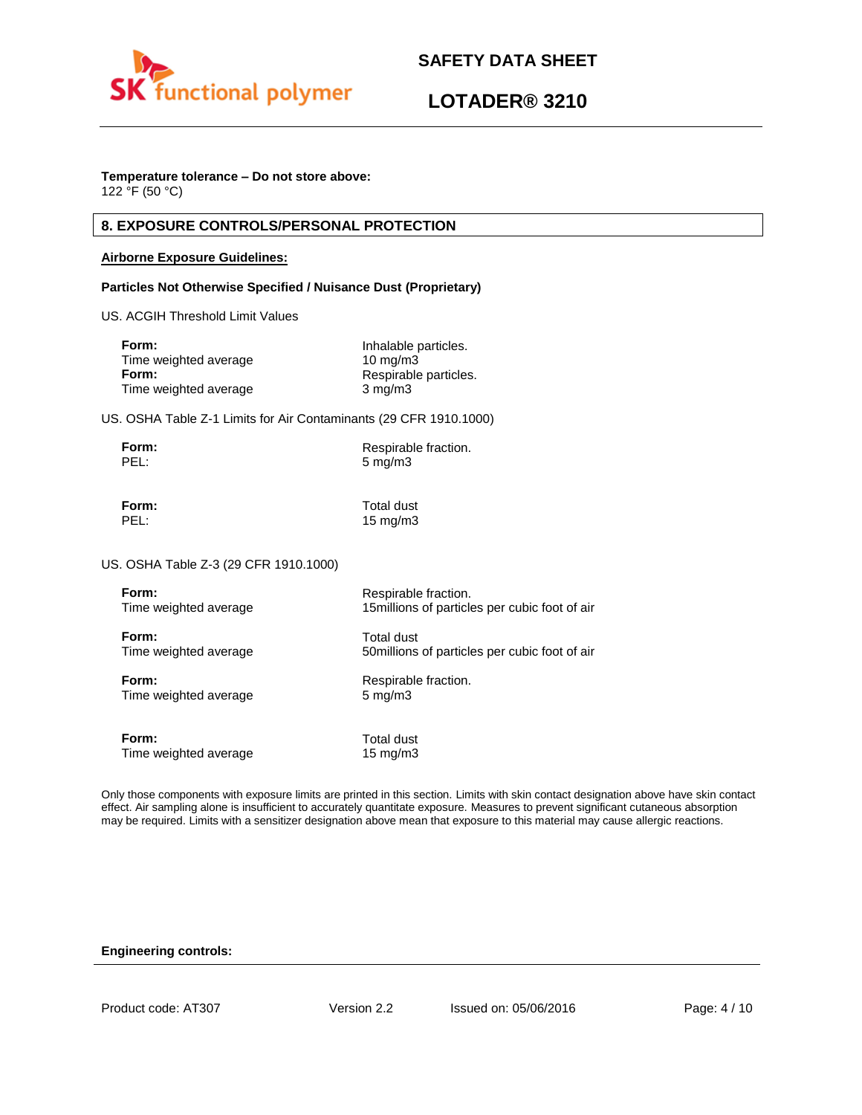

### **Temperature tolerance – Do not store above:**

122 °F (50 °C)

## **8. EXPOSURE CONTROLS/PERSONAL PROTECTION**

#### **Airborne Exposure Guidelines:**

### **Particles Not Otherwise Specified / Nuisance Dust (Proprietary)**

US. ACGIH Threshold Limit Values

| Form:                 | Inhalable particles.  |
|-----------------------|-----------------------|
| Time weighted average | $10 \text{ mg/m}$     |
| Form:                 | Respirable particles. |
| Time weighted average | $3 \text{ mg/m}$      |

US. OSHA Table Z-1 Limits for Air Contaminants (29 CFR 1910.1000)

| Form: | Respirable fraction. |
|-------|----------------------|
| PEL:  | $5 \text{ mg/m}$     |

**Form:** Total dust PEL: 15 mg/m3

US. OSHA Table Z-3 (29 CFR 1910.1000)

| Form:                 | Respirable fraction.                           |
|-----------------------|------------------------------------------------|
| Time weighted average | 15 millions of particles per cubic foot of air |
| Form:                 | <b>Total dust</b>                              |
| Time weighted average | 50 millions of particles per cubic foot of air |
| Form:                 | Respirable fraction.                           |
| Time weighted average | $5 \text{ mg/m}$                               |
| Form:                 | Total dust                                     |
| Time weighted average | $15 \text{ mg/m}$                              |

Only those components with exposure limits are printed in this section. Limits with skin contact designation above have skin contact effect. Air sampling alone is insufficient to accurately quantitate exposure. Measures to prevent significant cutaneous absorption may be required. Limits with a sensitizer designation above mean that exposure to this material may cause allergic reactions.

#### **Engineering controls:**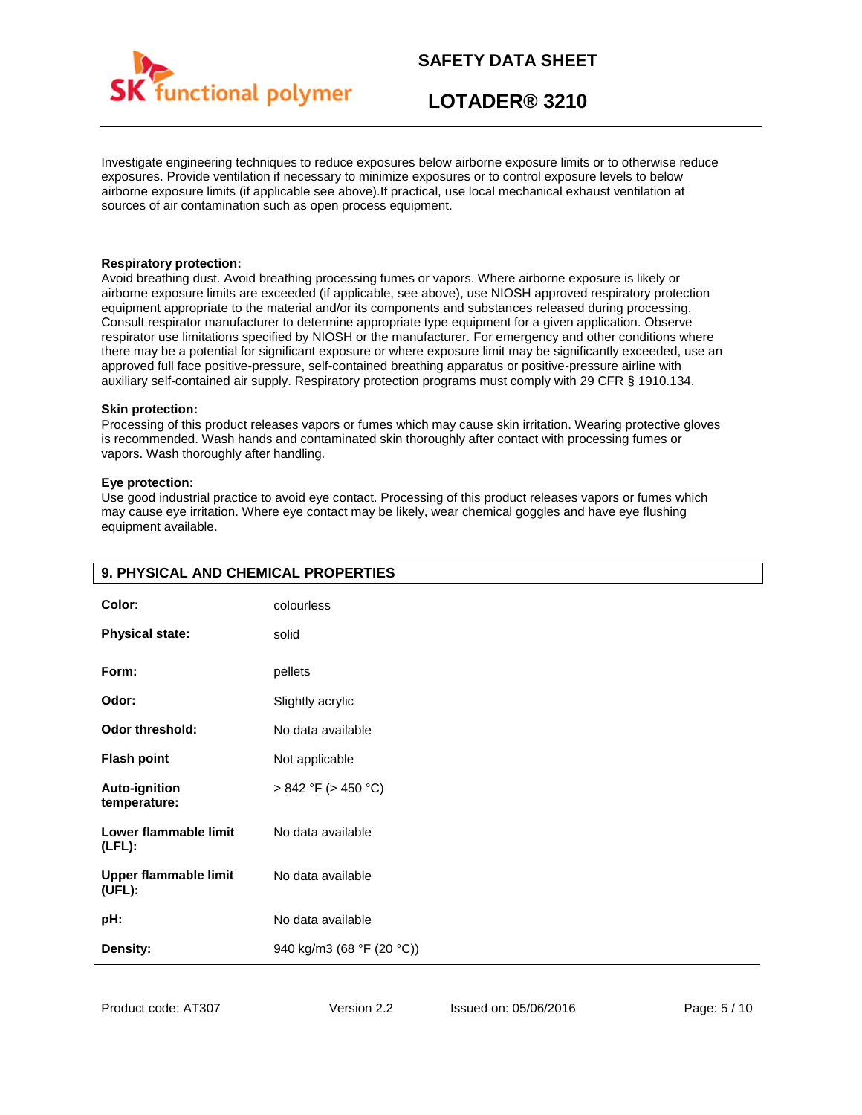

## **LOTADER® 3210**

Investigate engineering techniques to reduce exposures below airborne exposure limits or to otherwise reduce exposures. Provide ventilation if necessary to minimize exposures or to control exposure levels to below airborne exposure limits (if applicable see above).If practical, use local mechanical exhaust ventilation at sources of air contamination such as open process equipment.

#### **Respiratory protection:**

Avoid breathing dust. Avoid breathing processing fumes or vapors. Where airborne exposure is likely or airborne exposure limits are exceeded (if applicable, see above), use NIOSH approved respiratory protection equipment appropriate to the material and/or its components and substances released during processing. Consult respirator manufacturer to determine appropriate type equipment for a given application. Observe respirator use limitations specified by NIOSH or the manufacturer. For emergency and other conditions where there may be a potential for significant exposure or where exposure limit may be significantly exceeded, use an approved full face positive-pressure, self-contained breathing apparatus or positive-pressure airline with auxiliary self-contained air supply. Respiratory protection programs must comply with 29 CFR § 1910.134.

#### **Skin protection:**

Processing of this product releases vapors or fumes which may cause skin irritation. Wearing protective gloves is recommended. Wash hands and contaminated skin thoroughly after contact with processing fumes or vapors. Wash thoroughly after handling.

#### **Eye protection:**

Use good industrial practice to avoid eye contact. Processing of this product releases vapors or fumes which may cause eye irritation. Where eye contact may be likely, wear chemical goggles and have eye flushing equipment available.

| Color:                                 | colourless                |
|----------------------------------------|---------------------------|
| <b>Physical state:</b>                 | solid                     |
| Form:                                  | pellets                   |
| Odor:                                  | Slightly acrylic          |
| <b>Odor threshold:</b>                 | No data available         |
| <b>Flash point</b>                     | Not applicable            |
| <b>Auto-ignition</b><br>temperature:   | $> 842$ °F ( $> 450$ °C)  |
| Lower flammable limit<br>$(LFL)$ :     | No data available         |
| <b>Upper flammable limit</b><br>(UEL): | No data available         |
| pH:                                    | No data available         |
| Density:                               | 940 kg/m3 (68 °F (20 °C)) |

### **9. PHYSICAL AND CHEMICAL PROPERTIES**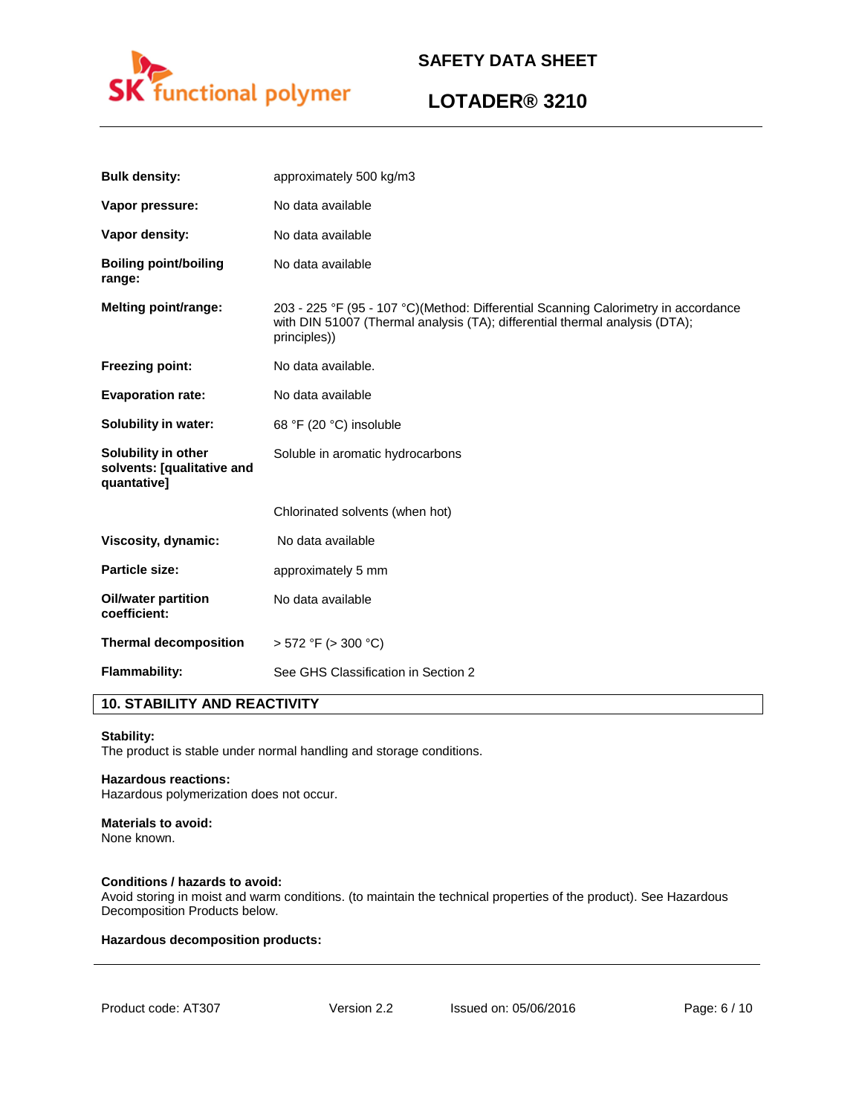

## **LOTADER® 3210**

| <b>Bulk density:</b>                                             | approximately 500 kg/m3                                                                                                                                                           |
|------------------------------------------------------------------|-----------------------------------------------------------------------------------------------------------------------------------------------------------------------------------|
| Vapor pressure:                                                  | No data available                                                                                                                                                                 |
| Vapor density:                                                   | No data available                                                                                                                                                                 |
| <b>Boiling point/boiling</b><br>range:                           | No data available                                                                                                                                                                 |
| <b>Melting point/range:</b>                                      | 203 - 225 °F (95 - 107 °C)(Method: Differential Scanning Calorimetry in accordance<br>with DIN 51007 (Thermal analysis (TA); differential thermal analysis (DTA);<br>principles)) |
| <b>Freezing point:</b>                                           | No data available.                                                                                                                                                                |
| <b>Evaporation rate:</b>                                         | No data available                                                                                                                                                                 |
| Solubility in water:                                             | 68 °F (20 °C) insoluble                                                                                                                                                           |
| Solubility in other<br>solvents: [qualitative and<br>quantative] | Soluble in aromatic hydrocarbons                                                                                                                                                  |
|                                                                  | Chlorinated solvents (when hot)                                                                                                                                                   |
| Viscosity, dynamic:                                              | No data available                                                                                                                                                                 |
| <b>Particle size:</b>                                            | approximately 5 mm                                                                                                                                                                |
| <b>Oil/water partition</b><br>coefficient:                       | No data available                                                                                                                                                                 |
| <b>Thermal decomposition</b>                                     | $>$ 572 °F ( $>$ 300 °C)                                                                                                                                                          |
| <b>Flammability:</b>                                             | See GHS Classification in Section 2                                                                                                                                               |

## **10. STABILITY AND REACTIVITY**

#### **Stability:**

The product is stable under normal handling and storage conditions.

#### **Hazardous reactions:**

Hazardous polymerization does not occur.

### **Materials to avoid:**

None known.

#### **Conditions / hazards to avoid:**

Avoid storing in moist and warm conditions. (to maintain the technical properties of the product). See Hazardous Decomposition Products below.

#### **Hazardous decomposition products:**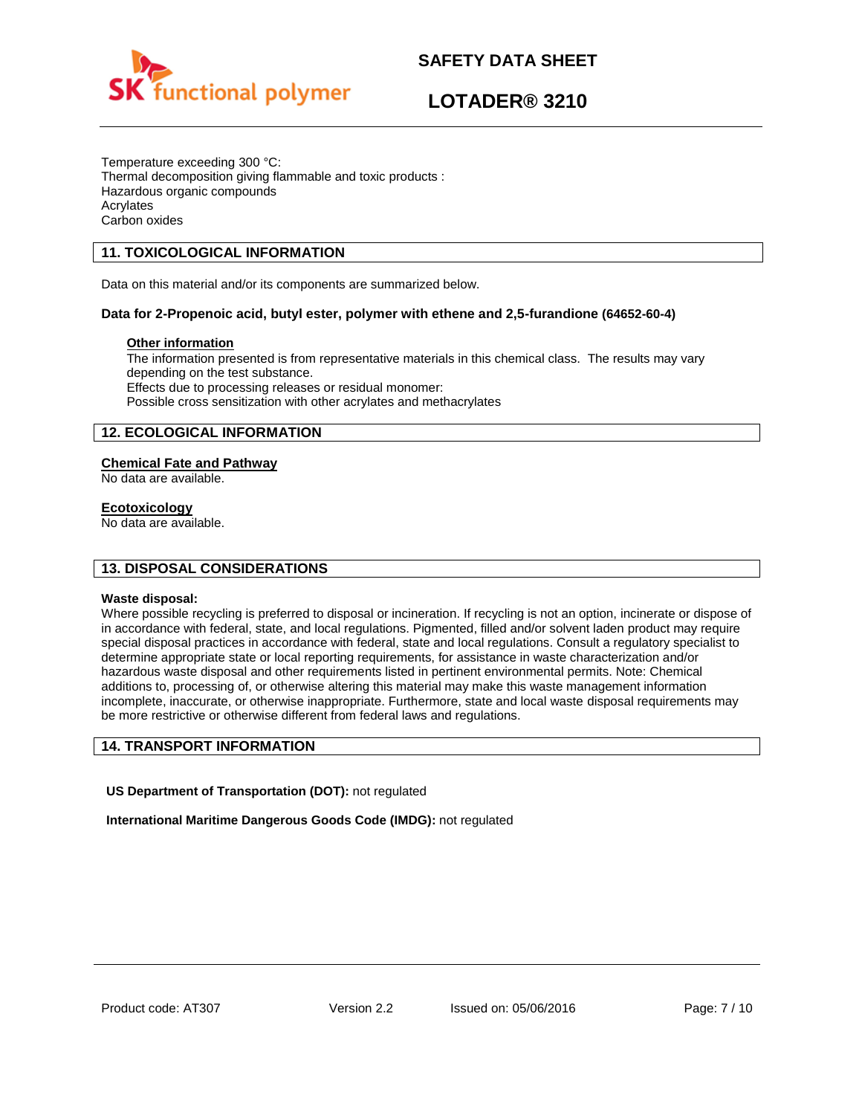

## **LOTADER® 3210**

Temperature exceeding 300 °C: Thermal decomposition giving flammable and toxic products : Hazardous organic compounds Acrylates Carbon oxides

## **11. TOXICOLOGICAL INFORMATION**

Data on this material and/or its components are summarized below.

### **Data for 2-Propenoic acid, butyl ester, polymer with ethene and 2,5-furandione (64652-60-4)**

### **Other information**

The information presented is from representative materials in this chemical class. The results may vary depending on the test substance. Effects due to processing releases or residual monomer: Possible cross sensitization with other acrylates and methacrylates

## **12. ECOLOGICAL INFORMATION**

### **Chemical Fate and Pathway**

No data are available.

#### **Ecotoxicology**

No data are available.

### **13. DISPOSAL CONSIDERATIONS**

#### **Waste disposal:**

Where possible recycling is preferred to disposal or incineration. If recycling is not an option, incinerate or dispose of in accordance with federal, state, and local regulations. Pigmented, filled and/or solvent laden product may require special disposal practices in accordance with federal, state and local regulations. Consult a regulatory specialist to determine appropriate state or local reporting requirements, for assistance in waste characterization and/or hazardous waste disposal and other requirements listed in pertinent environmental permits. Note: Chemical additions to, processing of, or otherwise altering this material may make this waste management information incomplete, inaccurate, or otherwise inappropriate. Furthermore, state and local waste disposal requirements may be more restrictive or otherwise different from federal laws and regulations.

#### **14. TRANSPORT INFORMATION**

**US Department of Transportation (DOT):** not regulated

**International Maritime Dangerous Goods Code (IMDG):** not regulated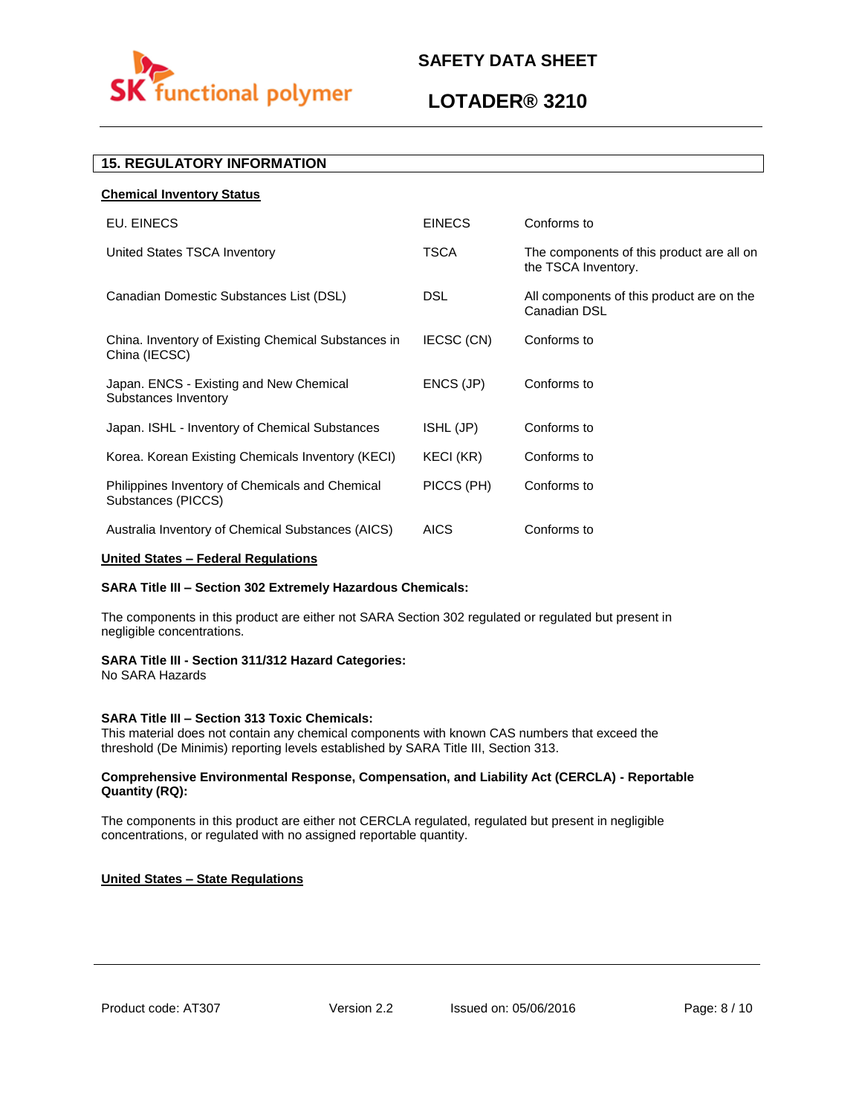

## **LOTADER® 3210**

## **15. REGULATORY INFORMATION**

| <b>Chemical Inventory Status</b>                                      |                  |                                                                  |
|-----------------------------------------------------------------------|------------------|------------------------------------------------------------------|
| EU. EINECS                                                            | <b>EINECS</b>    | Conforms to                                                      |
| United States TSCA Inventory                                          | <b>TSCA</b>      | The components of this product are all on<br>the TSCA Inventory. |
| Canadian Domestic Substances List (DSL)                               | <b>DSL</b>       | All components of this product are on the<br>Canadian DSL        |
| China. Inventory of Existing Chemical Substances in<br>China (IECSC)  | IECSC (CN)       | Conforms to                                                      |
| Japan. ENCS - Existing and New Chemical<br>Substances Inventory       | ENCS (JP)        | Conforms to                                                      |
| Japan. ISHL - Inventory of Chemical Substances                        | ISHL (JP)        | Conforms to                                                      |
| Korea. Korean Existing Chemicals Inventory (KECI)                     | <b>KECI (KR)</b> | Conforms to                                                      |
| Philippines Inventory of Chemicals and Chemical<br>Substances (PICCS) | PICCS (PH)       | Conforms to                                                      |
| Australia Inventory of Chemical Substances (AICS)                     | <b>AICS</b>      | Conforms to                                                      |

### **United States – Federal Regulations**

#### **SARA Title III – Section 302 Extremely Hazardous Chemicals:**

The components in this product are either not SARA Section 302 regulated or regulated but present in negligible concentrations.

#### **SARA Title III - Section 311/312 Hazard Categories:**

No SARA Hazards

#### **SARA Title III – Section 313 Toxic Chemicals:**

This material does not contain any chemical components with known CAS numbers that exceed the threshold (De Minimis) reporting levels established by SARA Title III, Section 313.

#### **Comprehensive Environmental Response, Compensation, and Liability Act (CERCLA) - Reportable Quantity (RQ):**

The components in this product are either not CERCLA regulated, regulated but present in negligible concentrations, or regulated with no assigned reportable quantity.

#### **United States – State Regulations**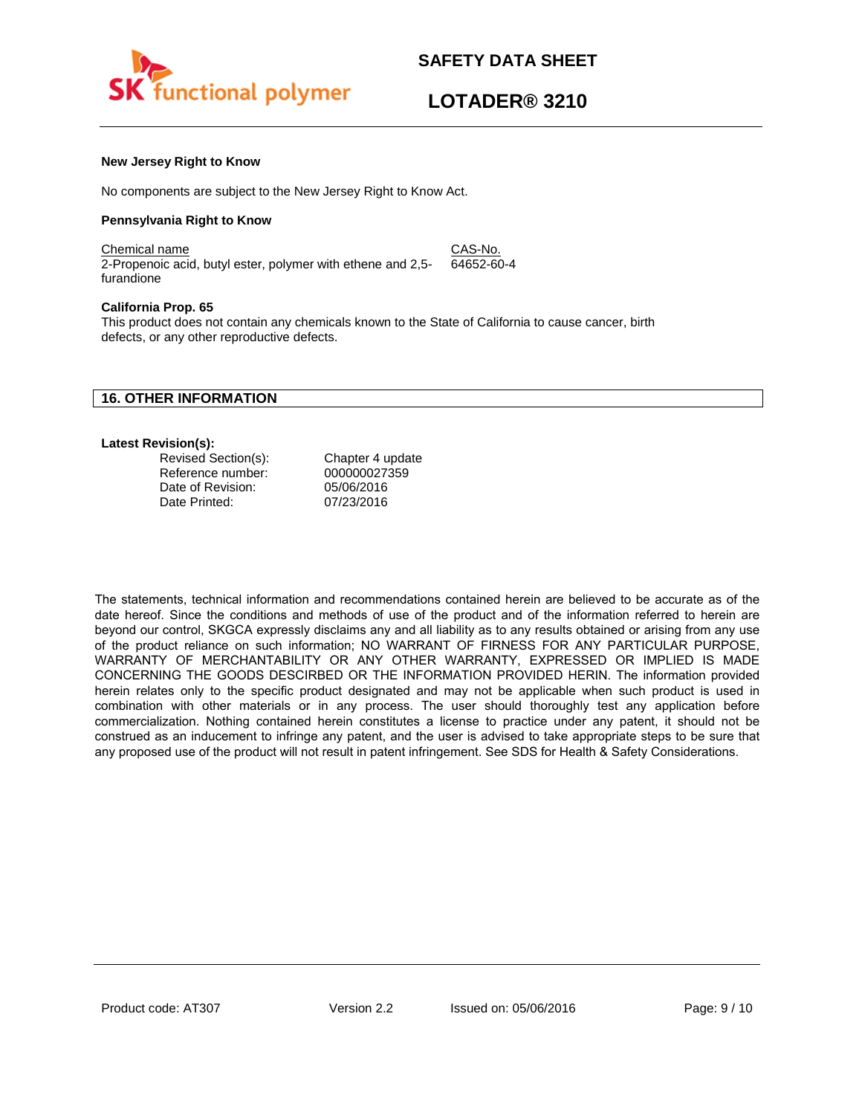

#### **New Jersey Right to Know**

No components are subject to the New Jersey Right to Know Act.

#### **Pennsylvania Right to Know**

Chemical name CAS-No. 2-Propenoic acid, butyl ester, polymer with ethene and 2,5 furandione 64652-60-4

#### **California Prop. 65**

This product does not contain any chemicals known to the State of California to cause cancer, birth defects, or any other reproductive defects.

### **16. OTHER INFORMATION**

#### **Latest Revision(s):**

| Revised Section(s): | Chapter 4 update |
|---------------------|------------------|
| Reference number:   | 000000027359     |
| Date of Revision:   | 05/06/2016       |
| Date Printed:       | 07/23/2016       |

The statements, technical information and recommendations contained herein are believed to be accurate as of the date hereof. Since the conditions and methods of use of the product and of the information referred to herein are beyond our control, SKGCA expressly disclaims any and all liability as to any results obtained or arising from any use of the product reliance on such information; NO WARRANT OF FIRNESS FOR ANY PARTICULAR PURPOSE, WARRANTY OF MERCHANTABILITY OR ANY OTHER WARRANTY, EXPRESSED OR IMPLIED IS MADE CONCERNING THE GOODS DESCIRBED OR THE INFORMATION PROVIDED HERIN. The information provided herein relates only to the specific product designated and may not be applicable when such product is used in combination with other materials or in any process. The user should thoroughly test any application before commercialization. Nothing contained herein constitutes a license to practice under any patent, it should not be construed as an inducement to infringe any patent, and the user is advised to take appropriate steps to be sure that any proposed use of the product will not result in patent infringement. See SDS for Health & Safety Considerations.